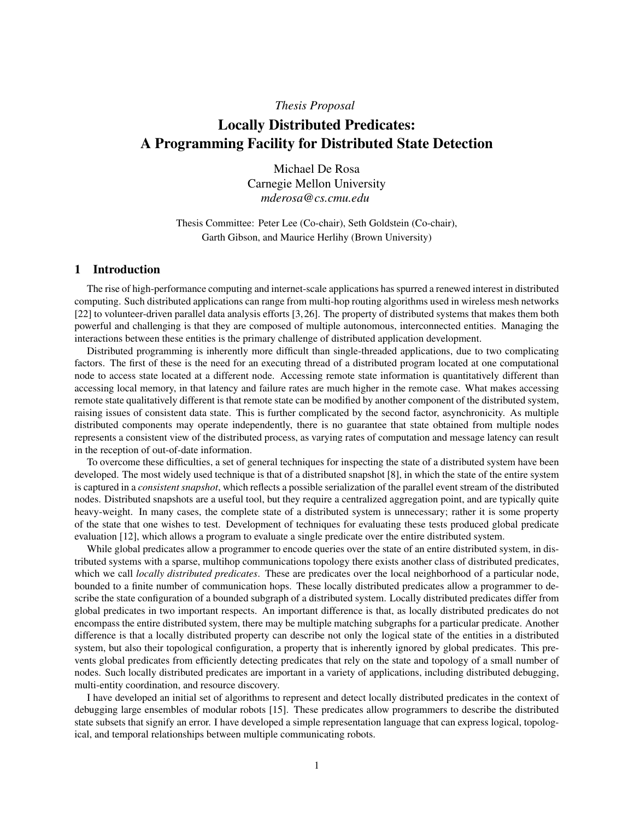# *Thesis Proposal*

# Locally Distributed Predicates: A Programming Facility for Distributed State Detection

Michael De Rosa Carnegie Mellon University *mderosa@cs.cmu.edu*

Thesis Committee: Peter Lee (Co-chair), Seth Goldstein (Co-chair), Garth Gibson, and Maurice Herlihy (Brown University)

# 1 Introduction

The rise of high-performance computing and internet-scale applications has spurred a renewed interest in distributed computing. Such distributed applications can range from multi-hop routing algorithms used in wireless mesh networks [22] to volunteer-driven parallel data analysis efforts [3,26]. The property of distributed systems that makes them both powerful and challenging is that they are composed of multiple autonomous, interconnected entities. Managing the interactions between these entities is the primary challenge of distributed application development.

Distributed programming is inherently more difficult than single-threaded applications, due to two complicating factors. The first of these is the need for an executing thread of a distributed program located at one computational node to access state located at a different node. Accessing remote state information is quantitatively different than accessing local memory, in that latency and failure rates are much higher in the remote case. What makes accessing remote state qualitatively different is that remote state can be modified by another component of the distributed system, raising issues of consistent data state. This is further complicated by the second factor, asynchronicity. As multiple distributed components may operate independently, there is no guarantee that state obtained from multiple nodes represents a consistent view of the distributed process, as varying rates of computation and message latency can result in the reception of out-of-date information.

To overcome these difficulties, a set of general techniques for inspecting the state of a distributed system have been developed. The most widely used technique is that of a distributed snapshot [8], in which the state of the entire system is captured in a *consistent snapshot*, which reflects a possible serialization of the parallel event stream of the distributed nodes. Distributed snapshots are a useful tool, but they require a centralized aggregation point, and are typically quite heavy-weight. In many cases, the complete state of a distributed system is unnecessary; rather it is some property of the state that one wishes to test. Development of techniques for evaluating these tests produced global predicate evaluation [12], which allows a program to evaluate a single predicate over the entire distributed system.

While global predicates allow a programmer to encode queries over the state of an entire distributed system, in distributed systems with a sparse, multihop communications topology there exists another class of distributed predicates, which we call *locally distributed predicates*. These are predicates over the local neighborhood of a particular node, bounded to a finite number of communication hops. These locally distributed predicates allow a programmer to describe the state configuration of a bounded subgraph of a distributed system. Locally distributed predicates differ from global predicates in two important respects. An important difference is that, as locally distributed predicates do not encompass the entire distributed system, there may be multiple matching subgraphs for a particular predicate. Another difference is that a locally distributed property can describe not only the logical state of the entities in a distributed system, but also their topological configuration, a property that is inherently ignored by global predicates. This prevents global predicates from efficiently detecting predicates that rely on the state and topology of a small number of nodes. Such locally distributed predicates are important in a variety of applications, including distributed debugging, multi-entity coordination, and resource discovery.

I have developed an initial set of algorithms to represent and detect locally distributed predicates in the context of debugging large ensembles of modular robots [15]. These predicates allow programmers to describe the distributed state subsets that signify an error. I have developed a simple representation language that can express logical, topological, and temporal relationships between multiple communicating robots.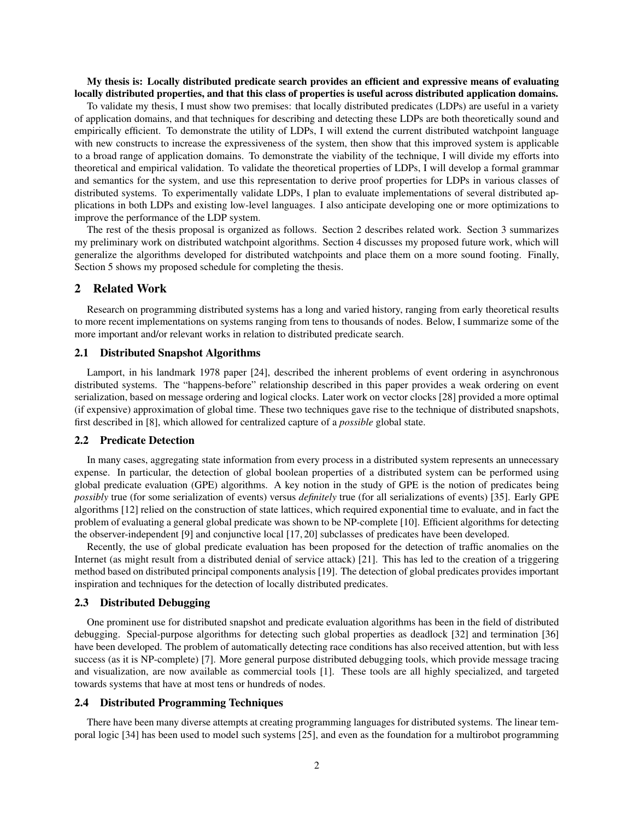My thesis is: Locally distributed predicate search provides an efficient and expressive means of evaluating locally distributed properties, and that this class of properties is useful across distributed application domains.

To validate my thesis, I must show two premises: that locally distributed predicates (LDPs) are useful in a variety of application domains, and that techniques for describing and detecting these LDPs are both theoretically sound and empirically efficient. To demonstrate the utility of LDPs, I will extend the current distributed watchpoint language with new constructs to increase the expressiveness of the system, then show that this improved system is applicable to a broad range of application domains. To demonstrate the viability of the technique, I will divide my efforts into theoretical and empirical validation. To validate the theoretical properties of LDPs, I will develop a formal grammar and semantics for the system, and use this representation to derive proof properties for LDPs in various classes of distributed systems. To experimentally validate LDPs, I plan to evaluate implementations of several distributed applications in both LDPs and existing low-level languages. I also anticipate developing one or more optimizations to improve the performance of the LDP system.

The rest of the thesis proposal is organized as follows. Section 2 describes related work. Section 3 summarizes my preliminary work on distributed watchpoint algorithms. Section 4 discusses my proposed future work, which will generalize the algorithms developed for distributed watchpoints and place them on a more sound footing. Finally, Section 5 shows my proposed schedule for completing the thesis.

### 2 Related Work

Research on programming distributed systems has a long and varied history, ranging from early theoretical results to more recent implementations on systems ranging from tens to thousands of nodes. Below, I summarize some of the more important and/or relevant works in relation to distributed predicate search.

### 2.1 Distributed Snapshot Algorithms

Lamport, in his landmark 1978 paper [24], described the inherent problems of event ordering in asynchronous distributed systems. The "happens-before" relationship described in this paper provides a weak ordering on event serialization, based on message ordering and logical clocks. Later work on vector clocks [28] provided a more optimal (if expensive) approximation of global time. These two techniques gave rise to the technique of distributed snapshots, first described in [8], which allowed for centralized capture of a *possible* global state.

### 2.2 Predicate Detection

In many cases, aggregating state information from every process in a distributed system represents an unnecessary expense. In particular, the detection of global boolean properties of a distributed system can be performed using global predicate evaluation (GPE) algorithms. A key notion in the study of GPE is the notion of predicates being *possibly* true (for some serialization of events) versus *definitely* true (for all serializations of events) [35]. Early GPE algorithms [12] relied on the construction of state lattices, which required exponential time to evaluate, and in fact the problem of evaluating a general global predicate was shown to be NP-complete [10]. Efficient algorithms for detecting the observer-independent [9] and conjunctive local [17, 20] subclasses of predicates have been developed.

Recently, the use of global predicate evaluation has been proposed for the detection of traffic anomalies on the Internet (as might result from a distributed denial of service attack) [21]. This has led to the creation of a triggering method based on distributed principal components analysis [19]. The detection of global predicates provides important inspiration and techniques for the detection of locally distributed predicates.

# 2.3 Distributed Debugging

One prominent use for distributed snapshot and predicate evaluation algorithms has been in the field of distributed debugging. Special-purpose algorithms for detecting such global properties as deadlock [32] and termination [36] have been developed. The problem of automatically detecting race conditions has also received attention, but with less success (as it is NP-complete) [7]. More general purpose distributed debugging tools, which provide message tracing and visualization, are now available as commercial tools [1]. These tools are all highly specialized, and targeted towards systems that have at most tens or hundreds of nodes.

# 2.4 Distributed Programming Techniques

There have been many diverse attempts at creating programming languages for distributed systems. The linear temporal logic [34] has been used to model such systems [25], and even as the foundation for a multirobot programming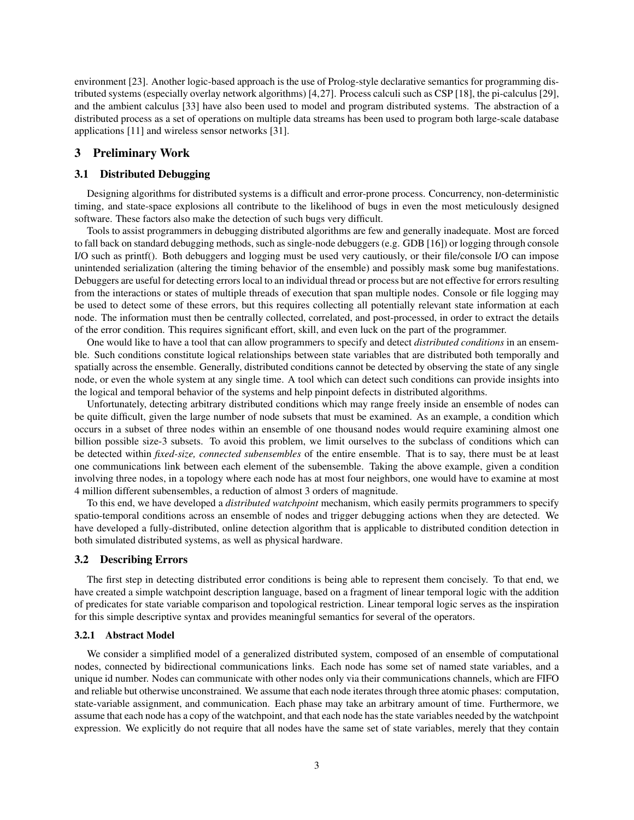environment [23]. Another logic-based approach is the use of Prolog-style declarative semantics for programming distributed systems (especially overlay network algorithms) [4,27]. Process calculi such as CSP [18], the pi-calculus [29], and the ambient calculus [33] have also been used to model and program distributed systems. The abstraction of a distributed process as a set of operations on multiple data streams has been used to program both large-scale database applications [11] and wireless sensor networks [31].

# 3 Preliminary Work

### 3.1 Distributed Debugging

Designing algorithms for distributed systems is a difficult and error-prone process. Concurrency, non-deterministic timing, and state-space explosions all contribute to the likelihood of bugs in even the most meticulously designed software. These factors also make the detection of such bugs very difficult.

Tools to assist programmers in debugging distributed algorithms are few and generally inadequate. Most are forced to fall back on standard debugging methods, such as single-node debuggers (e.g. GDB [16]) or logging through console I/O such as printf(). Both debuggers and logging must be used very cautiously, or their file/console I/O can impose unintended serialization (altering the timing behavior of the ensemble) and possibly mask some bug manifestations. Debuggers are useful for detecting errors local to an individual thread or process but are not effective for errors resulting from the interactions or states of multiple threads of execution that span multiple nodes. Console or file logging may be used to detect some of these errors, but this requires collecting all potentially relevant state information at each node. The information must then be centrally collected, correlated, and post-processed, in order to extract the details of the error condition. This requires significant effort, skill, and even luck on the part of the programmer.

One would like to have a tool that can allow programmers to specify and detect *distributed conditions* in an ensemble. Such conditions constitute logical relationships between state variables that are distributed both temporally and spatially across the ensemble. Generally, distributed conditions cannot be detected by observing the state of any single node, or even the whole system at any single time. A tool which can detect such conditions can provide insights into the logical and temporal behavior of the systems and help pinpoint defects in distributed algorithms.

Unfortunately, detecting arbitrary distributed conditions which may range freely inside an ensemble of nodes can be quite difficult, given the large number of node subsets that must be examined. As an example, a condition which occurs in a subset of three nodes within an ensemble of one thousand nodes would require examining almost one billion possible size-3 subsets. To avoid this problem, we limit ourselves to the subclass of conditions which can be detected within *fixed-size, connected subensembles* of the entire ensemble. That is to say, there must be at least one communications link between each element of the subensemble. Taking the above example, given a condition involving three nodes, in a topology where each node has at most four neighbors, one would have to examine at most 4 million different subensembles, a reduction of almost 3 orders of magnitude.

To this end, we have developed a *distributed watchpoint* mechanism, which easily permits programmers to specify spatio-temporal conditions across an ensemble of nodes and trigger debugging actions when they are detected. We have developed a fully-distributed, online detection algorithm that is applicable to distributed condition detection in both simulated distributed systems, as well as physical hardware.

#### 3.2 Describing Errors

The first step in detecting distributed error conditions is being able to represent them concisely. To that end, we have created a simple watchpoint description language, based on a fragment of linear temporal logic with the addition of predicates for state variable comparison and topological restriction. Linear temporal logic serves as the inspiration for this simple descriptive syntax and provides meaningful semantics for several of the operators.

#### 3.2.1 Abstract Model

We consider a simplified model of a generalized distributed system, composed of an ensemble of computational nodes, connected by bidirectional communications links. Each node has some set of named state variables, and a unique id number. Nodes can communicate with other nodes only via their communications channels, which are FIFO and reliable but otherwise unconstrained. We assume that each node iterates through three atomic phases: computation, state-variable assignment, and communication. Each phase may take an arbitrary amount of time. Furthermore, we assume that each node has a copy of the watchpoint, and that each node has the state variables needed by the watchpoint expression. We explicitly do not require that all nodes have the same set of state variables, merely that they contain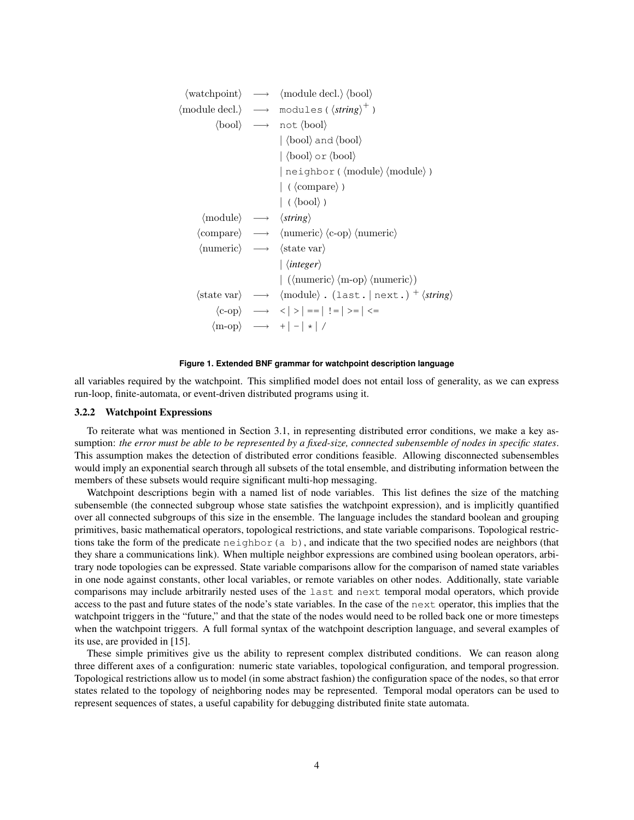```
\langle \text{watchpoint} \rangle \rightarrow \langle \text{module decl.} \rangle \langle \text{bool} \rangle\langle module decl.\rangle \rightarrow modules (\langlestring\rangle^+)
                 \langle \text{bool} \rangle \longrightarrow \text{not} \langle \text{bool} \rangle|\langle \text{bool} \rangle and \langle \text{bool} \rangle|\langle \text{bool} \rangle \text{ or } \langle \text{bool} \rangle| neighbor (\langle module\rangle ) \langle module\rangle)
                                                 \vert ( \langle \text{compare} \rangle )
                                                 |\langle \text{bool} \rangle|hmodulei −→ hstringi
        \langle \text{compare} \rangle \longrightarrow \langle \text{numeric} \rangle \langle \text{c-op} \rangle \langle \text{numeric} \rangle\langlenumeric\rangle \rightarrow \langlestate var\rangle| \integer}
                                                 \vert ((numeric) \m-op) \mumeric))
        \langle state \, var \rangle \rightarrow \langle module \rangle. (last. | next.)<sup>+</sup> \langle string \rangle\langlec-op\rangle \longrightarrow \langle | \rangle | == | ! = | \rangle = | \langle = |\langle m\text{-op} \rangle \longrightarrow + \vert - \vert * \vert /
```


all variables required by the watchpoint. This simplified model does not entail loss of generality, as we can express run-loop, finite-automata, or event-driven distributed programs using it.

#### 3.2.2 Watchpoint Expressions

To reiterate what was mentioned in Section 3.1, in representing distributed error conditions, we make a key assumption: *the error must be able to be represented by a fixed-size, connected subensemble of nodes in specific states*. This assumption makes the detection of distributed error conditions feasible. Allowing disconnected subensembles would imply an exponential search through all subsets of the total ensemble, and distributing information between the members of these subsets would require significant multi-hop messaging.

Watchpoint descriptions begin with a named list of node variables. This list defines the size of the matching subensemble (the connected subgroup whose state satisfies the watchpoint expression), and is implicitly quantified over all connected subgroups of this size in the ensemble. The language includes the standard boolean and grouping primitives, basic mathematical operators, topological restrictions, and state variable comparisons. Topological restrictions take the form of the predicate neighbor(a b), and indicate that the two specified nodes are neighbors (that they share a communications link). When multiple neighbor expressions are combined using boolean operators, arbitrary node topologies can be expressed. State variable comparisons allow for the comparison of named state variables in one node against constants, other local variables, or remote variables on other nodes. Additionally, state variable comparisons may include arbitrarily nested uses of the last and next temporal modal operators, which provide access to the past and future states of the node's state variables. In the case of the next operator, this implies that the watchpoint triggers in the "future," and that the state of the nodes would need to be rolled back one or more timesteps when the watchpoint triggers. A full formal syntax of the watchpoint description language, and several examples of its use, are provided in [15].

These simple primitives give us the ability to represent complex distributed conditions. We can reason along three different axes of a configuration: numeric state variables, topological configuration, and temporal progression. Topological restrictions allow us to model (in some abstract fashion) the configuration space of the nodes, so that error states related to the topology of neighboring nodes may be represented. Temporal modal operators can be used to represent sequences of states, a useful capability for debugging distributed finite state automata.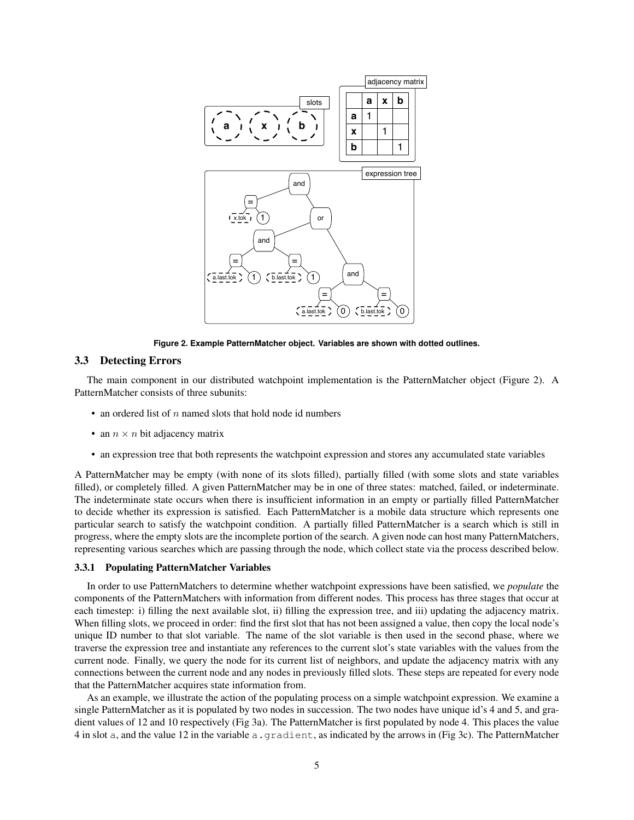

**Figure 2. Example PatternMatcher object. Variables are shown with dotted outlines.**

# 3.3 Detecting Errors

The main component in our distributed watchpoint implementation is the PatternMatcher object (Figure 2). A PatternMatcher consists of three subunits:

- an ordered list of  $n$  named slots that hold node id numbers
- an  $n \times n$  bit adjacency matrix
- an expression tree that both represents the watchpoint expression and stores any accumulated state variables

A PatternMatcher may be empty (with none of its slots filled), partially filled (with some slots and state variables filled), or completely filled. A given PatternMatcher may be in one of three states: matched, failed, or indeterminate. The indeterminate state occurs when there is insufficient information in an empty or partially filled PatternMatcher to decide whether its expression is satisfied. Each PatternMatcher is a mobile data structure which represents one particular search to satisfy the watchpoint condition. A partially filled PatternMatcher is a search which is still in progress, where the empty slots are the incomplete portion of the search. A given node can host many PatternMatchers, representing various searches which are passing through the node, which collect state via the process described below.

#### 3.3.1 Populating PatternMatcher Variables

In order to use PatternMatchers to determine whether watchpoint expressions have been satisfied, we *populate* the components of the PatternMatchers with information from different nodes. This process has three stages that occur at each timestep: i) filling the next available slot, ii) filling the expression tree, and iii) updating the adjacency matrix. When filling slots, we proceed in order: find the first slot that has not been assigned a value, then copy the local node's unique ID number to that slot variable. The name of the slot variable is then used in the second phase, where we traverse the expression tree and instantiate any references to the current slot's state variables with the values from the current node. Finally, we query the node for its current list of neighbors, and update the adjacency matrix with any connections between the current node and any nodes in previously filled slots. These steps are repeated for every node that the PatternMatcher acquires state information from.

As an example, we illustrate the action of the populating process on a simple watchpoint expression. We examine a single PatternMatcher as it is populated by two nodes in succession. The two nodes have unique id's 4 and 5, and gradient values of 12 and 10 respectively (Fig 3a). The PatternMatcher is first populated by node 4. This places the value 4 in slot a, and the value 12 in the variable a.gradient, as indicated by the arrows in (Fig 3c). The PatternMatcher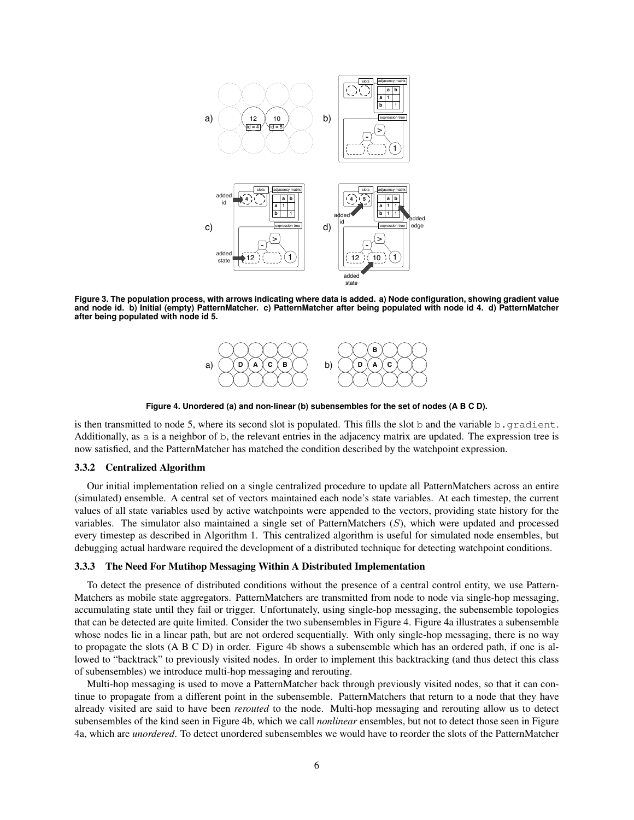

**Figure 3. The population process, with arrows indicating where data is added. a) Node configuration, showing gradient value and node id. b) Initial (empty) PatternMatcher. c) PatternMatcher after being populated with node id 4. d) PatternMatcher after being populated with node id 5.**



**Figure 4. Unordered (a) and non-linear (b) subensembles for the set of nodes (A B C D).**

is then transmitted to node 5, where its second slot is populated. This fills the slot b and the variable b.  $gradient$ . Additionally, as a is a neighbor of b, the relevant entries in the adjacency matrix are updated. The expression tree is now satisfied, and the PatternMatcher has matched the condition described by the watchpoint expression.

### 3.3.2 Centralized Algorithm

Our initial implementation relied on a single centralized procedure to update all PatternMatchers across an entire (simulated) ensemble. A central set of vectors maintained each node's state variables. At each timestep, the current values of all state variables used by active watchpoints were appended to the vectors, providing state history for the variables. The simulator also maintained a single set of PatternMatchers (S), which were updated and processed every timestep as described in Algorithm 1. This centralized algorithm is useful for simulated node ensembles, but debugging actual hardware required the development of a distributed technique for detecting watchpoint conditions.

#### 3.3.3 The Need For Mutihop Messaging Within A Distributed Implementation

To detect the presence of distributed conditions without the presence of a central control entity, we use Pattern-Matchers as mobile state aggregators. PatternMatchers are transmitted from node to node via single-hop messaging, accumulating state until they fail or trigger. Unfortunately, using single-hop messaging, the subensemble topologies that can be detected are quite limited. Consider the two subensembles in Figure 4. Figure 4a illustrates a subensemble whose nodes lie in a linear path, but are not ordered sequentially. With only single-hop messaging, there is no way to propagate the slots (A B C D) in order. Figure 4b shows a subensemble which has an ordered path, if one is allowed to "backtrack" to previously visited nodes. In order to implement this backtracking (and thus detect this class of subensembles) we introduce multi-hop messaging and rerouting.

Multi-hop messaging is used to move a PatternMatcher back through previously visited nodes, so that it can continue to propagate from a different point in the subensemble. PatternMatchers that return to a node that they have already visited are said to have been *rerouted* to the node. Multi-hop messaging and rerouting allow us to detect subensembles of the kind seen in Figure 4b, which we call *nonlinear* ensembles, but not to detect those seen in Figure 4a, which are *unordered*. To detect unordered subensembles we would have to reorder the slots of the PatternMatcher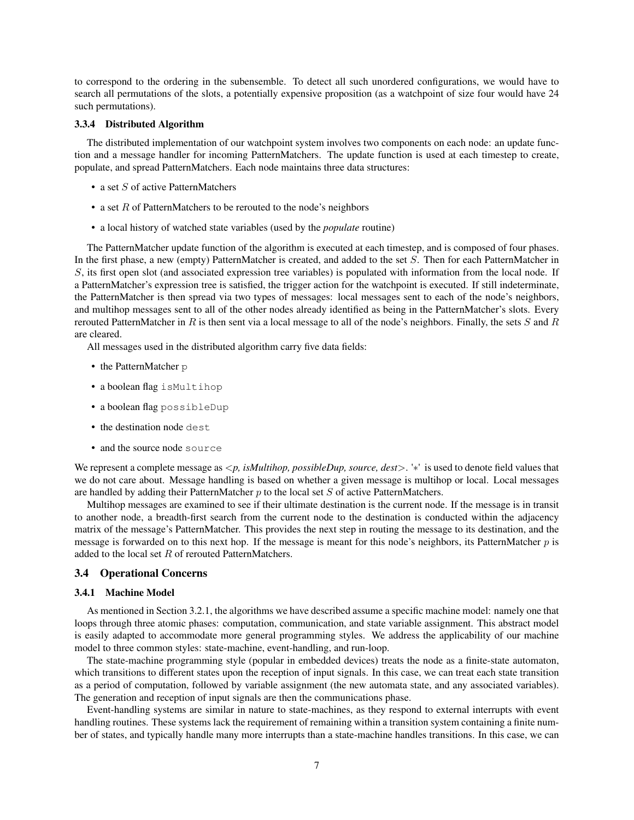to correspond to the ordering in the subensemble. To detect all such unordered configurations, we would have to search all permutations of the slots, a potentially expensive proposition (as a watchpoint of size four would have 24 such permutations).

### 3.3.4 Distributed Algorithm

The distributed implementation of our watchpoint system involves two components on each node: an update function and a message handler for incoming PatternMatchers. The update function is used at each timestep to create, populate, and spread PatternMatchers. Each node maintains three data structures:

- a set  $S$  of active PatternMatchers
- a set  $R$  of PatternMatchers to be rerouted to the node's neighbors
- a local history of watched state variables (used by the *populate* routine)

The PatternMatcher update function of the algorithm is executed at each timestep, and is composed of four phases. In the first phase, a new (empty) PatternMatcher is created, and added to the set S. Then for each PatternMatcher in S, its first open slot (and associated expression tree variables) is populated with information from the local node. If a PatternMatcher's expression tree is satisfied, the trigger action for the watchpoint is executed. If still indeterminate, the PatternMatcher is then spread via two types of messages: local messages sent to each of the node's neighbors, and multihop messages sent to all of the other nodes already identified as being in the PatternMatcher's slots. Every rerouted PatternMatcher in R is then sent via a local message to all of the node's neighbors. Finally, the sets S and R are cleared.

All messages used in the distributed algorithm carry five data fields:

- the PatternMatcher p
- a boolean flag isMultihop
- a boolean flag possibleDup
- the destination node dest
- and the source node source

We represent a complete message as <*p, isMultihop, possibleDup, source, dest*>. '∗' is used to denote field values that we do not care about. Message handling is based on whether a given message is multihop or local. Local messages are handled by adding their PatternMatcher  $p$  to the local set  $S$  of active PatternMatchers.

Multihop messages are examined to see if their ultimate destination is the current node. If the message is in transit to another node, a breadth-first search from the current node to the destination is conducted within the adjacency matrix of the message's PatternMatcher. This provides the next step in routing the message to its destination, and the message is forwarded on to this next hop. If the message is meant for this node's neighbors, its PatternMatcher  $p$  is added to the local set R of rerouted PatternMatchers.

#### 3.4 Operational Concerns

#### 3.4.1 Machine Model

As mentioned in Section 3.2.1, the algorithms we have described assume a specific machine model: namely one that loops through three atomic phases: computation, communication, and state variable assignment. This abstract model is easily adapted to accommodate more general programming styles. We address the applicability of our machine model to three common styles: state-machine, event-handling, and run-loop.

The state-machine programming style (popular in embedded devices) treats the node as a finite-state automaton, which transitions to different states upon the reception of input signals. In this case, we can treat each state transition as a period of computation, followed by variable assignment (the new automata state, and any associated variables). The generation and reception of input signals are then the communications phase.

Event-handling systems are similar in nature to state-machines, as they respond to external interrupts with event handling routines. These systems lack the requirement of remaining within a transition system containing a finite number of states, and typically handle many more interrupts than a state-machine handles transitions. In this case, we can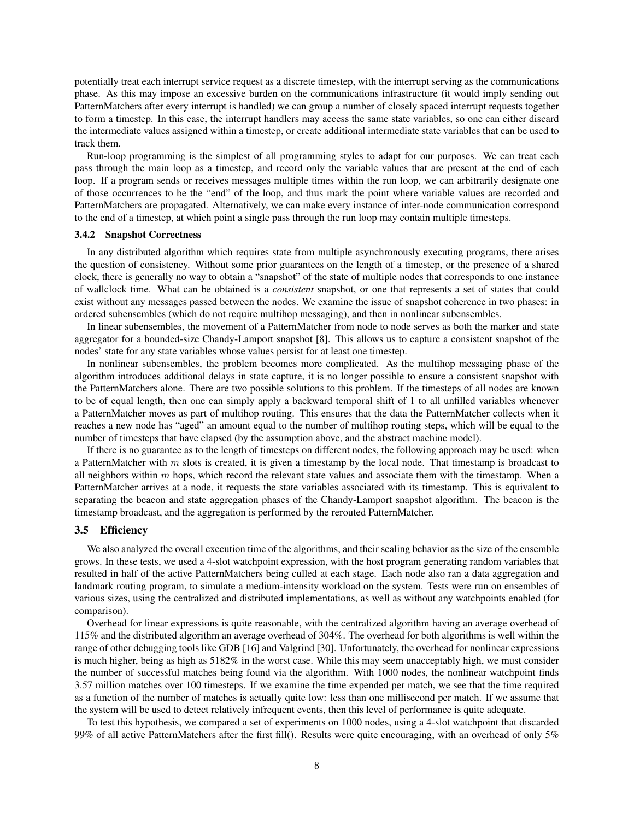potentially treat each interrupt service request as a discrete timestep, with the interrupt serving as the communications phase. As this may impose an excessive burden on the communications infrastructure (it would imply sending out PatternMatchers after every interrupt is handled) we can group a number of closely spaced interrupt requests together to form a timestep. In this case, the interrupt handlers may access the same state variables, so one can either discard the intermediate values assigned within a timestep, or create additional intermediate state variables that can be used to track them.

Run-loop programming is the simplest of all programming styles to adapt for our purposes. We can treat each pass through the main loop as a timestep, and record only the variable values that are present at the end of each loop. If a program sends or receives messages multiple times within the run loop, we can arbitrarily designate one of those occurrences to be the "end" of the loop, and thus mark the point where variable values are recorded and PatternMatchers are propagated. Alternatively, we can make every instance of inter-node communication correspond to the end of a timestep, at which point a single pass through the run loop may contain multiple timesteps.

#### 3.4.2 Snapshot Correctness

In any distributed algorithm which requires state from multiple asynchronously executing programs, there arises the question of consistency. Without some prior guarantees on the length of a timestep, or the presence of a shared clock, there is generally no way to obtain a "snapshot" of the state of multiple nodes that corresponds to one instance of wallclock time. What can be obtained is a *consistent* snapshot, or one that represents a set of states that could exist without any messages passed between the nodes. We examine the issue of snapshot coherence in two phases: in ordered subensembles (which do not require multihop messaging), and then in nonlinear subensembles.

In linear subensembles, the movement of a PatternMatcher from node to node serves as both the marker and state aggregator for a bounded-size Chandy-Lamport snapshot [8]. This allows us to capture a consistent snapshot of the nodes' state for any state variables whose values persist for at least one timestep.

In nonlinear subensembles, the problem becomes more complicated. As the multihop messaging phase of the algorithm introduces additional delays in state capture, it is no longer possible to ensure a consistent snapshot with the PatternMatchers alone. There are two possible solutions to this problem. If the timesteps of all nodes are known to be of equal length, then one can simply apply a backward temporal shift of 1 to all unfilled variables whenever a PatternMatcher moves as part of multihop routing. This ensures that the data the PatternMatcher collects when it reaches a new node has "aged" an amount equal to the number of multihop routing steps, which will be equal to the number of timesteps that have elapsed (by the assumption above, and the abstract machine model).

If there is no guarantee as to the length of timesteps on different nodes, the following approach may be used: when a PatternMatcher with  $m$  slots is created, it is given a timestamp by the local node. That timestamp is broadcast to all neighbors within  $m$  hops, which record the relevant state values and associate them with the timestamp. When a PatternMatcher arrives at a node, it requests the state variables associated with its timestamp. This is equivalent to separating the beacon and state aggregation phases of the Chandy-Lamport snapshot algorithm. The beacon is the timestamp broadcast, and the aggregation is performed by the rerouted PatternMatcher.

#### 3.5 Efficiency

We also analyzed the overall execution time of the algorithms, and their scaling behavior as the size of the ensemble grows. In these tests, we used a 4-slot watchpoint expression, with the host program generating random variables that resulted in half of the active PatternMatchers being culled at each stage. Each node also ran a data aggregation and landmark routing program, to simulate a medium-intensity workload on the system. Tests were run on ensembles of various sizes, using the centralized and distributed implementations, as well as without any watchpoints enabled (for comparison).

Overhead for linear expressions is quite reasonable, with the centralized algorithm having an average overhead of 115% and the distributed algorithm an average overhead of 304%. The overhead for both algorithms is well within the range of other debugging tools like GDB [16] and Valgrind [30]. Unfortunately, the overhead for nonlinear expressions is much higher, being as high as 5182% in the worst case. While this may seem unacceptably high, we must consider the number of successful matches being found via the algorithm. With 1000 nodes, the nonlinear watchpoint finds 3.57 million matches over 100 timesteps. If we examine the time expended per match, we see that the time required as a function of the number of matches is actually quite low: less than one millisecond per match. If we assume that the system will be used to detect relatively infrequent events, then this level of performance is quite adequate.

To test this hypothesis, we compared a set of experiments on 1000 nodes, using a 4-slot watchpoint that discarded 99% of all active PatternMatchers after the first fill(). Results were quite encouraging, with an overhead of only 5%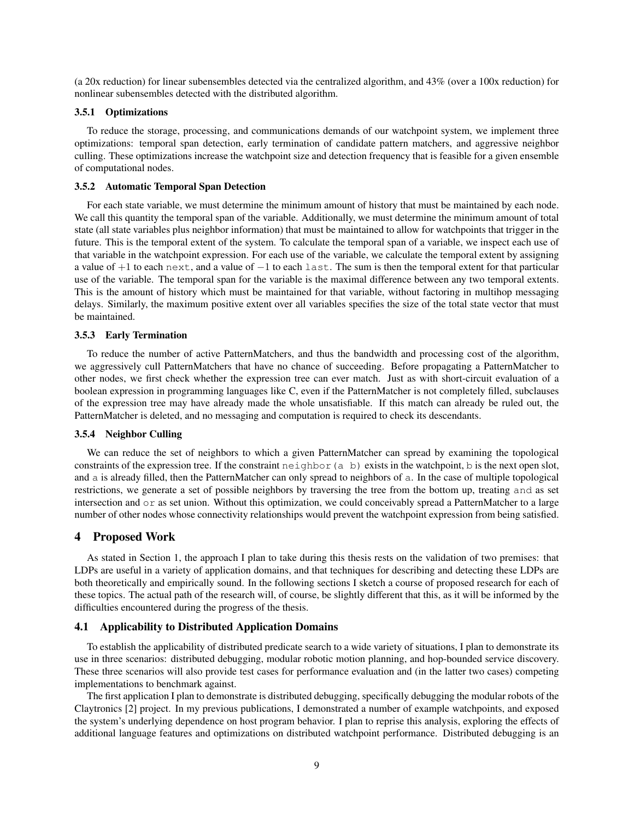(a 20x reduction) for linear subensembles detected via the centralized algorithm, and  $43\%$  (over a 100x reduction) for nonlinear subensembles detected with the distributed algorithm.

#### 3.5.1 Optimizations

To reduce the storage, processing, and communications demands of our watchpoint system, we implement three optimizations: temporal span detection, early termination of candidate pattern matchers, and aggressive neighbor culling. These optimizations increase the watchpoint size and detection frequency that is feasible for a given ensemble of computational nodes.

# 3.5.2 Automatic Temporal Span Detection

For each state variable, we must determine the minimum amount of history that must be maintained by each node. We call this quantity the temporal span of the variable. Additionally, we must determine the minimum amount of total state (all state variables plus neighbor information) that must be maintained to allow for watchpoints that trigger in the future. This is the temporal extent of the system. To calculate the temporal span of a variable, we inspect each use of that variable in the watchpoint expression. For each use of the variable, we calculate the temporal extent by assigning a value of +1 to each next, and a value of −1 to each last. The sum is then the temporal extent for that particular use of the variable. The temporal span for the variable is the maximal difference between any two temporal extents. This is the amount of history which must be maintained for that variable, without factoring in multihop messaging delays. Similarly, the maximum positive extent over all variables specifies the size of the total state vector that must be maintained.

#### 3.5.3 Early Termination

To reduce the number of active PatternMatchers, and thus the bandwidth and processing cost of the algorithm, we aggressively cull PatternMatchers that have no chance of succeeding. Before propagating a PatternMatcher to other nodes, we first check whether the expression tree can ever match. Just as with short-circuit evaluation of a boolean expression in programming languages like C, even if the PatternMatcher is not completely filled, subclauses of the expression tree may have already made the whole unsatisfiable. If this match can already be ruled out, the PatternMatcher is deleted, and no messaging and computation is required to check its descendants.

#### 3.5.4 Neighbor Culling

We can reduce the set of neighbors to which a given PatternMatcher can spread by examining the topological constraints of the expression tree. If the constraint  $neighbour(A \ b)$  exists in the watchpoint, b is the next open slot, and a is already filled, then the PatternMatcher can only spread to neighbors of a. In the case of multiple topological restrictions, we generate a set of possible neighbors by traversing the tree from the bottom up, treating and as set intersection and or as set union. Without this optimization, we could conceivably spread a PatternMatcher to a large number of other nodes whose connectivity relationships would prevent the watchpoint expression from being satisfied.

### 4 Proposed Work

As stated in Section 1, the approach I plan to take during this thesis rests on the validation of two premises: that LDPs are useful in a variety of application domains, and that techniques for describing and detecting these LDPs are both theoretically and empirically sound. In the following sections I sketch a course of proposed research for each of these topics. The actual path of the research will, of course, be slightly different that this, as it will be informed by the difficulties encountered during the progress of the thesis.

### 4.1 Applicability to Distributed Application Domains

To establish the applicability of distributed predicate search to a wide variety of situations, I plan to demonstrate its use in three scenarios: distributed debugging, modular robotic motion planning, and hop-bounded service discovery. These three scenarios will also provide test cases for performance evaluation and (in the latter two cases) competing implementations to benchmark against.

The first application I plan to demonstrate is distributed debugging, specifically debugging the modular robots of the Claytronics [2] project. In my previous publications, I demonstrated a number of example watchpoints, and exposed the system's underlying dependence on host program behavior. I plan to reprise this analysis, exploring the effects of additional language features and optimizations on distributed watchpoint performance. Distributed debugging is an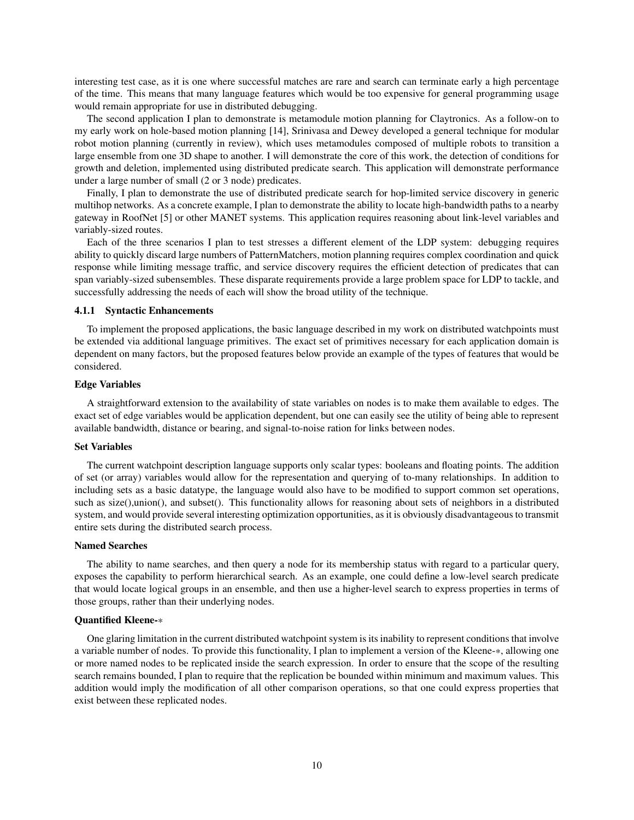interesting test case, as it is one where successful matches are rare and search can terminate early a high percentage of the time. This means that many language features which would be too expensive for general programming usage would remain appropriate for use in distributed debugging.

The second application I plan to demonstrate is metamodule motion planning for Claytronics. As a follow-on to my early work on hole-based motion planning [14], Srinivasa and Dewey developed a general technique for modular robot motion planning (currently in review), which uses metamodules composed of multiple robots to transition a large ensemble from one 3D shape to another. I will demonstrate the core of this work, the detection of conditions for growth and deletion, implemented using distributed predicate search. This application will demonstrate performance under a large number of small (2 or 3 node) predicates.

Finally, I plan to demonstrate the use of distributed predicate search for hop-limited service discovery in generic multihop networks. As a concrete example, I plan to demonstrate the ability to locate high-bandwidth paths to a nearby gateway in RoofNet [5] or other MANET systems. This application requires reasoning about link-level variables and variably-sized routes.

Each of the three scenarios I plan to test stresses a different element of the LDP system: debugging requires ability to quickly discard large numbers of PatternMatchers, motion planning requires complex coordination and quick response while limiting message traffic, and service discovery requires the efficient detection of predicates that can span variably-sized subensembles. These disparate requirements provide a large problem space for LDP to tackle, and successfully addressing the needs of each will show the broad utility of the technique.

#### 4.1.1 Syntactic Enhancements

To implement the proposed applications, the basic language described in my work on distributed watchpoints must be extended via additional language primitives. The exact set of primitives necessary for each application domain is dependent on many factors, but the proposed features below provide an example of the types of features that would be considered.

#### Edge Variables

A straightforward extension to the availability of state variables on nodes is to make them available to edges. The exact set of edge variables would be application dependent, but one can easily see the utility of being able to represent available bandwidth, distance or bearing, and signal-to-noise ration for links between nodes.

### Set Variables

The current watchpoint description language supports only scalar types: booleans and floating points. The addition of set (or array) variables would allow for the representation and querying of to-many relationships. In addition to including sets as a basic datatype, the language would also have to be modified to support common set operations, such as size(),union(), and subset(). This functionality allows for reasoning about sets of neighbors in a distributed system, and would provide several interesting optimization opportunities, as it is obviously disadvantageous to transmit entire sets during the distributed search process.

#### Named Searches

The ability to name searches, and then query a node for its membership status with regard to a particular query, exposes the capability to perform hierarchical search. As an example, one could define a low-level search predicate that would locate logical groups in an ensemble, and then use a higher-level search to express properties in terms of those groups, rather than their underlying nodes.

#### Quantified Kleene-\*

One glaring limitation in the current distributed watchpoint system is its inability to represent conditions that involve a variable number of nodes. To provide this functionality, I plan to implement a version of the Kleene-\*, allowing one or more named nodes to be replicated inside the search expression. In order to ensure that the scope of the resulting search remains bounded, I plan to require that the replication be bounded within minimum and maximum values. This addition would imply the modification of all other comparison operations, so that one could express properties that exist between these replicated nodes.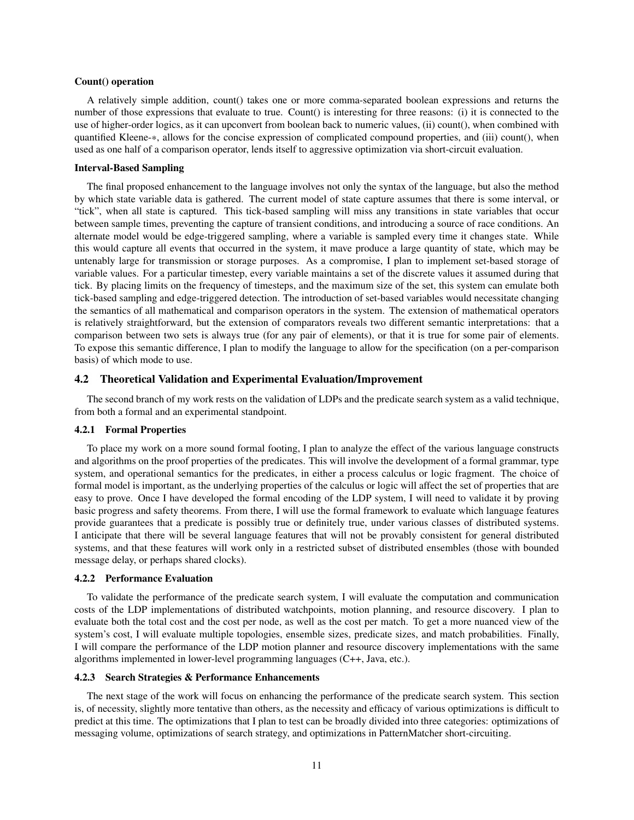#### Count() operation

A relatively simple addition, count() takes one or more comma-separated boolean expressions and returns the number of those expressions that evaluate to true. Count() is interesting for three reasons: (i) it is connected to the use of higher-order logics, as it can upconvert from boolean back to numeric values, (ii) count(), when combined with quantified Kleene-\*, allows for the concise expression of complicated compound properties, and (iii) count(), when used as one half of a comparison operator, lends itself to aggressive optimization via short-circuit evaluation.

#### Interval-Based Sampling

The final proposed enhancement to the language involves not only the syntax of the language, but also the method by which state variable data is gathered. The current model of state capture assumes that there is some interval, or "tick", when all state is captured. This tick-based sampling will miss any transitions in state variables that occur between sample times, preventing the capture of transient conditions, and introducing a source of race conditions. An alternate model would be edge-triggered sampling, where a variable is sampled every time it changes state. While this would capture all events that occurred in the system, it mave produce a large quantity of state, which may be untenably large for transmission or storage purposes. As a compromise, I plan to implement set-based storage of variable values. For a particular timestep, every variable maintains a set of the discrete values it assumed during that tick. By placing limits on the frequency of timesteps, and the maximum size of the set, this system can emulate both tick-based sampling and edge-triggered detection. The introduction of set-based variables would necessitate changing the semantics of all mathematical and comparison operators in the system. The extension of mathematical operators is relatively straightforward, but the extension of comparators reveals two different semantic interpretations: that a comparison between two sets is always true (for any pair of elements), or that it is true for some pair of elements. To expose this semantic difference, I plan to modify the language to allow for the specification (on a per-comparison basis) of which mode to use.

#### 4.2 Theoretical Validation and Experimental Evaluation/Improvement

The second branch of my work rests on the validation of LDPs and the predicate search system as a valid technique, from both a formal and an experimental standpoint.

### 4.2.1 Formal Properties

To place my work on a more sound formal footing, I plan to analyze the effect of the various language constructs and algorithms on the proof properties of the predicates. This will involve the development of a formal grammar, type system, and operational semantics for the predicates, in either a process calculus or logic fragment. The choice of formal model is important, as the underlying properties of the calculus or logic will affect the set of properties that are easy to prove. Once I have developed the formal encoding of the LDP system, I will need to validate it by proving basic progress and safety theorems. From there, I will use the formal framework to evaluate which language features provide guarantees that a predicate is possibly true or definitely true, under various classes of distributed systems. I anticipate that there will be several language features that will not be provably consistent for general distributed systems, and that these features will work only in a restricted subset of distributed ensembles (those with bounded message delay, or perhaps shared clocks).

#### 4.2.2 Performance Evaluation

To validate the performance of the predicate search system, I will evaluate the computation and communication costs of the LDP implementations of distributed watchpoints, motion planning, and resource discovery. I plan to evaluate both the total cost and the cost per node, as well as the cost per match. To get a more nuanced view of the system's cost, I will evaluate multiple topologies, ensemble sizes, predicate sizes, and match probabilities. Finally, I will compare the performance of the LDP motion planner and resource discovery implementations with the same algorithms implemented in lower-level programming languages (C++, Java, etc.).

#### 4.2.3 Search Strategies & Performance Enhancements

The next stage of the work will focus on enhancing the performance of the predicate search system. This section is, of necessity, slightly more tentative than others, as the necessity and efficacy of various optimizations is difficult to predict at this time. The optimizations that I plan to test can be broadly divided into three categories: optimizations of messaging volume, optimizations of search strategy, and optimizations in PatternMatcher short-circuiting.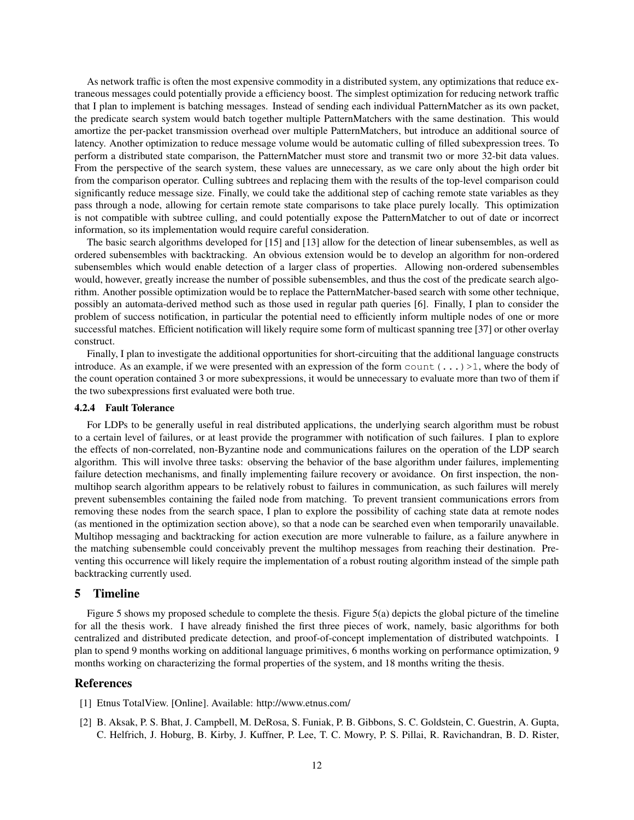As network traffic is often the most expensive commodity in a distributed system, any optimizations that reduce extraneous messages could potentially provide a efficiency boost. The simplest optimization for reducing network traffic that I plan to implement is batching messages. Instead of sending each individual PatternMatcher as its own packet, the predicate search system would batch together multiple PatternMatchers with the same destination. This would amortize the per-packet transmission overhead over multiple PatternMatchers, but introduce an additional source of latency. Another optimization to reduce message volume would be automatic culling of filled subexpression trees. To perform a distributed state comparison, the PatternMatcher must store and transmit two or more 32-bit data values. From the perspective of the search system, these values are unnecessary, as we care only about the high order bit from the comparison operator. Culling subtrees and replacing them with the results of the top-level comparison could significantly reduce message size. Finally, we could take the additional step of caching remote state variables as they pass through a node, allowing for certain remote state comparisons to take place purely locally. This optimization is not compatible with subtree culling, and could potentially expose the PatternMatcher to out of date or incorrect information, so its implementation would require careful consideration.

The basic search algorithms developed for [15] and [13] allow for the detection of linear subensembles, as well as ordered subensembles with backtracking. An obvious extension would be to develop an algorithm for non-ordered subensembles which would enable detection of a larger class of properties. Allowing non-ordered subensembles would, however, greatly increase the number of possible subensembles, and thus the cost of the predicate search algorithm. Another possible optimization would be to replace the PatternMatcher-based search with some other technique, possibly an automata-derived method such as those used in regular path queries [6]. Finally, I plan to consider the problem of success notification, in particular the potential need to efficiently inform multiple nodes of one or more successful matches. Efficient notification will likely require some form of multicast spanning tree [37] or other overlay construct.

Finally, I plan to investigate the additional opportunities for short-circuiting that the additional language constructs introduce. As an example, if we were presented with an expression of the form  $count(\ldots) >1$ , where the body of the count operation contained 3 or more subexpressions, it would be unnecessary to evaluate more than two of them if the two subexpressions first evaluated were both true.

#### 4.2.4 Fault Tolerance

For LDPs to be generally useful in real distributed applications, the underlying search algorithm must be robust to a certain level of failures, or at least provide the programmer with notification of such failures. I plan to explore the effects of non-correlated, non-Byzantine node and communications failures on the operation of the LDP search algorithm. This will involve three tasks: observing the behavior of the base algorithm under failures, implementing failure detection mechanisms, and finally implementing failure recovery or avoidance. On first inspection, the nonmultihop search algorithm appears to be relatively robust to failures in communication, as such failures will merely prevent subensembles containing the failed node from matching. To prevent transient communications errors from removing these nodes from the search space, I plan to explore the possibility of caching state data at remote nodes (as mentioned in the optimization section above), so that a node can be searched even when temporarily unavailable. Multihop messaging and backtracking for action execution are more vulnerable to failure, as a failure anywhere in the matching subensemble could conceivably prevent the multihop messages from reaching their destination. Preventing this occurrence will likely require the implementation of a robust routing algorithm instead of the simple path backtracking currently used.

#### 5 Timeline

Figure 5 shows my proposed schedule to complete the thesis. Figure 5(a) depicts the global picture of the timeline for all the thesis work. I have already finished the first three pieces of work, namely, basic algorithms for both centralized and distributed predicate detection, and proof-of-concept implementation of distributed watchpoints. I plan to spend 9 months working on additional language primitives, 6 months working on performance optimization, 9 months working on characterizing the formal properties of the system, and 18 months writing the thesis.

### **References**

- [1] Etnus TotalView. [Online]. Available: http://www.etnus.com/
- [2] B. Aksak, P. S. Bhat, J. Campbell, M. DeRosa, S. Funiak, P. B. Gibbons, S. C. Goldstein, C. Guestrin, A. Gupta, C. Helfrich, J. Hoburg, B. Kirby, J. Kuffner, P. Lee, T. C. Mowry, P. S. Pillai, R. Ravichandran, B. D. Rister,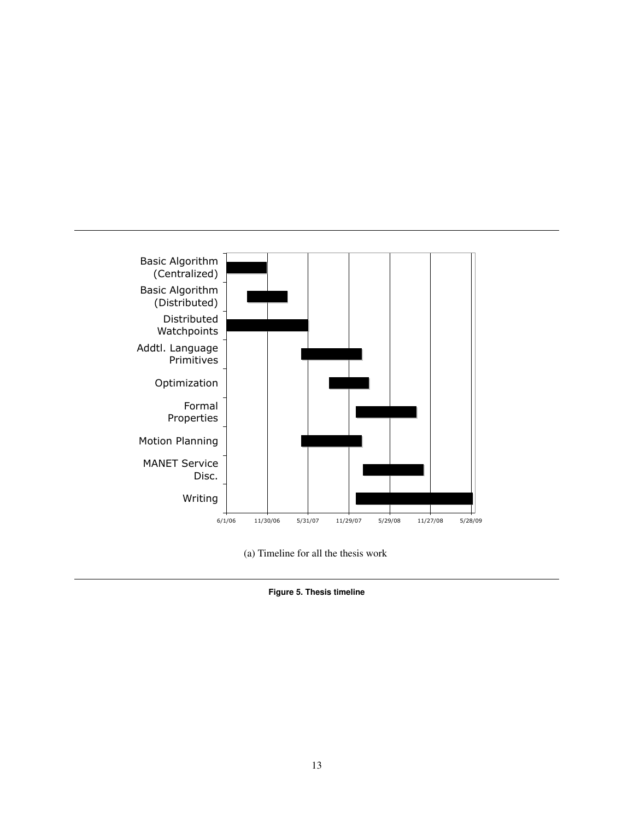

(a) Timeline for all the thesis work

**Figure 5. Thesis timeline**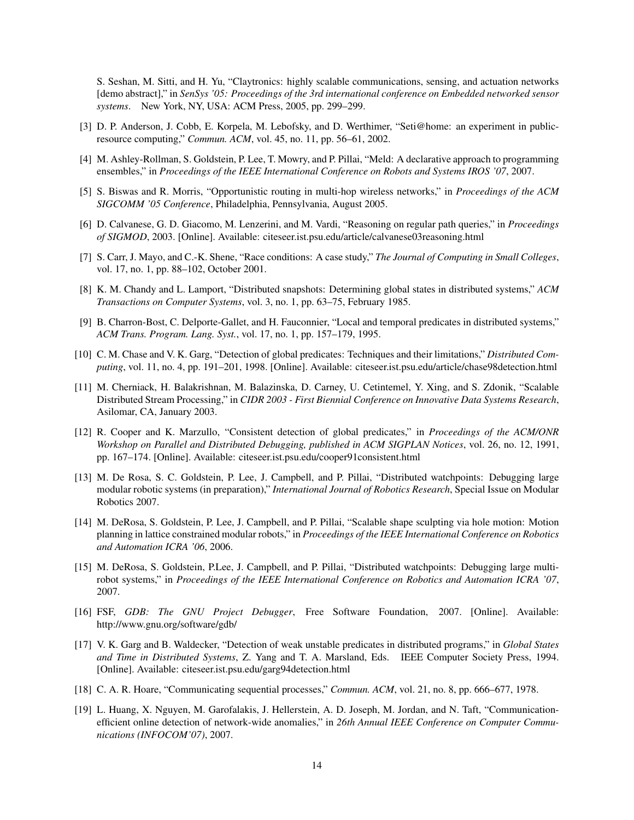S. Seshan, M. Sitti, and H. Yu, "Claytronics: highly scalable communications, sensing, and actuation networks [demo abstract]," in *SenSys '05: Proceedings of the 3rd international conference on Embedded networked sensor systems*. New York, NY, USA: ACM Press, 2005, pp. 299–299.

- [3] D. P. Anderson, J. Cobb, E. Korpela, M. Lebofsky, and D. Werthimer, "Seti@home: an experiment in publicresource computing," *Commun. ACM*, vol. 45, no. 11, pp. 56–61, 2002.
- [4] M. Ashley-Rollman, S. Goldstein, P. Lee, T. Mowry, and P. Pillai, "Meld: A declarative approach to programming ensembles," in *Proceedings of the IEEE International Conference on Robots and Systems IROS '07*, 2007.
- [5] S. Biswas and R. Morris, "Opportunistic routing in multi-hop wireless networks," in *Proceedings of the ACM SIGCOMM '05 Conference*, Philadelphia, Pennsylvania, August 2005.
- [6] D. Calvanese, G. D. Giacomo, M. Lenzerini, and M. Vardi, "Reasoning on regular path queries," in *Proceedings of SIGMOD*, 2003. [Online]. Available: citeseer.ist.psu.edu/article/calvanese03reasoning.html
- [7] S. Carr, J. Mayo, and C.-K. Shene, "Race conditions: A case study," *The Journal of Computing in Small Colleges*, vol. 17, no. 1, pp. 88–102, October 2001.
- [8] K. M. Chandy and L. Lamport, "Distributed snapshots: Determining global states in distributed systems," *ACM Transactions on Computer Systems*, vol. 3, no. 1, pp. 63–75, February 1985.
- [9] B. Charron-Bost, C. Delporte-Gallet, and H. Fauconnier, "Local and temporal predicates in distributed systems," *ACM Trans. Program. Lang. Syst.*, vol. 17, no. 1, pp. 157–179, 1995.
- [10] C. M. Chase and V. K. Garg, "Detection of global predicates: Techniques and their limitations," *Distributed Computing*, vol. 11, no. 4, pp. 191–201, 1998. [Online]. Available: citeseer.ist.psu.edu/article/chase98detection.html
- [11] M. Cherniack, H. Balakrishnan, M. Balazinska, D. Carney, U. Cetintemel, Y. Xing, and S. Zdonik, "Scalable Distributed Stream Processing," in *CIDR 2003 - First Biennial Conference on Innovative Data Systems Research*, Asilomar, CA, January 2003.
- [12] R. Cooper and K. Marzullo, "Consistent detection of global predicates," in *Proceedings of the ACM/ONR Workshop on Parallel and Distributed Debugging, published in ACM SIGPLAN Notices*, vol. 26, no. 12, 1991, pp. 167–174. [Online]. Available: citeseer.ist.psu.edu/cooper91consistent.html
- [13] M. De Rosa, S. C. Goldstein, P. Lee, J. Campbell, and P. Pillai, "Distributed watchpoints: Debugging large modular robotic systems (in preparation)," *International Journal of Robotics Research*, Special Issue on Modular Robotics 2007.
- [14] M. DeRosa, S. Goldstein, P. Lee, J. Campbell, and P. Pillai, "Scalable shape sculpting via hole motion: Motion planning in lattice constrained modular robots," in *Proceedings of the IEEE International Conference on Robotics and Automation ICRA '06*, 2006.
- [15] M. DeRosa, S. Goldstein, P.Lee, J. Campbell, and P. Pillai, "Distributed watchpoints: Debugging large multirobot systems," in *Proceedings of the IEEE International Conference on Robotics and Automation ICRA '07*, 2007.
- [16] FSF, *GDB: The GNU Project Debugger*, Free Software Foundation, 2007. [Online]. Available: http://www.gnu.org/software/gdb/
- [17] V. K. Garg and B. Waldecker, "Detection of weak unstable predicates in distributed programs," in *Global States and Time in Distributed Systems*, Z. Yang and T. A. Marsland, Eds. IEEE Computer Society Press, 1994. [Online]. Available: citeseer.ist.psu.edu/garg94detection.html
- [18] C. A. R. Hoare, "Communicating sequential processes," *Commun. ACM*, vol. 21, no. 8, pp. 666–677, 1978.
- [19] L. Huang, X. Nguyen, M. Garofalakis, J. Hellerstein, A. D. Joseph, M. Jordan, and N. Taft, "Communicationefficient online detection of network-wide anomalies," in *26th Annual IEEE Conference on Computer Communications (INFOCOM'07)*, 2007.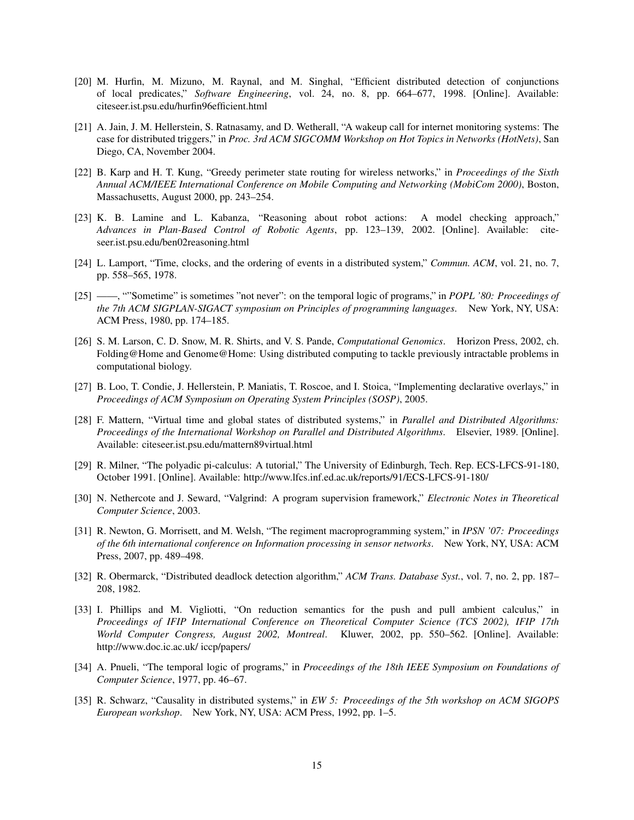- [20] M. Hurfin, M. Mizuno, M. Raynal, and M. Singhal, "Efficient distributed detection of conjunctions of local predicates," *Software Engineering*, vol. 24, no. 8, pp. 664–677, 1998. [Online]. Available: citeseer.ist.psu.edu/hurfin96efficient.html
- [21] A. Jain, J. M. Hellerstein, S. Ratnasamy, and D. Wetherall, "A wakeup call for internet monitoring systems: The case for distributed triggers," in *Proc. 3rd ACM SIGCOMM Workshop on Hot Topics in Networks (HotNets)*, San Diego, CA, November 2004.
- [22] B. Karp and H. T. Kung, "Greedy perimeter state routing for wireless networks," in *Proceedings of the Sixth Annual ACM/IEEE International Conference on Mobile Computing and Networking (MobiCom 2000)*, Boston, Massachusetts, August 2000, pp. 243–254.
- [23] K. B. Lamine and L. Kabanza, "Reasoning about robot actions: A model checking approach," *Advances in Plan-Based Control of Robotic Agents*, pp. 123–139, 2002. [Online]. Available: citeseer.ist.psu.edu/ben02reasoning.html
- [24] L. Lamport, "Time, clocks, and the ordering of events in a distributed system," *Commun. ACM*, vol. 21, no. 7, pp. 558–565, 1978.
- [25] ——, ""Sometime" is sometimes "not never": on the temporal logic of programs," in *POPL '80: Proceedings of the 7th ACM SIGPLAN-SIGACT symposium on Principles of programming languages*. New York, NY, USA: ACM Press, 1980, pp. 174–185.
- [26] S. M. Larson, C. D. Snow, M. R. Shirts, and V. S. Pande, *Computational Genomics*. Horizon Press, 2002, ch. Folding@Home and Genome@Home: Using distributed computing to tackle previously intractable problems in computational biology.
- [27] B. Loo, T. Condie, J. Hellerstein, P. Maniatis, T. Roscoe, and I. Stoica, "Implementing declarative overlays," in *Proceedings of ACM Symposium on Operating System Principles (SOSP)*, 2005.
- [28] F. Mattern, "Virtual time and global states of distributed systems," in *Parallel and Distributed Algorithms: Proceedings of the International Workshop on Parallel and Distributed Algorithms*. Elsevier, 1989. [Online]. Available: citeseer.ist.psu.edu/mattern89virtual.html
- [29] R. Milner, "The polyadic pi-calculus: A tutorial," The University of Edinburgh, Tech. Rep. ECS-LFCS-91-180, October 1991. [Online]. Available: http://www.lfcs.inf.ed.ac.uk/reports/91/ECS-LFCS-91-180/
- [30] N. Nethercote and J. Seward, "Valgrind: A program supervision framework," *Electronic Notes in Theoretical Computer Science*, 2003.
- [31] R. Newton, G. Morrisett, and M. Welsh, "The regiment macroprogramming system," in *IPSN '07: Proceedings of the 6th international conference on Information processing in sensor networks*. New York, NY, USA: ACM Press, 2007, pp. 489–498.
- [32] R. Obermarck, "Distributed deadlock detection algorithm," *ACM Trans. Database Syst.*, vol. 7, no. 2, pp. 187– 208, 1982.
- [33] I. Phillips and M. Vigliotti, "On reduction semantics for the push and pull ambient calculus," in *Proceedings of IFIP International Conference on Theoretical Computer Science (TCS 2002), IFIP 17th World Computer Congress, August 2002, Montreal*. Kluwer, 2002, pp. 550–562. [Online]. Available: http://www.doc.ic.ac.uk/ iccp/papers/
- [34] A. Pnueli, "The temporal logic of programs," in *Proceedings of the 18th IEEE Symposium on Foundations of Computer Science*, 1977, pp. 46–67.
- [35] R. Schwarz, "Causality in distributed systems," in *EW 5: Proceedings of the 5th workshop on ACM SIGOPS European workshop*. New York, NY, USA: ACM Press, 1992, pp. 1–5.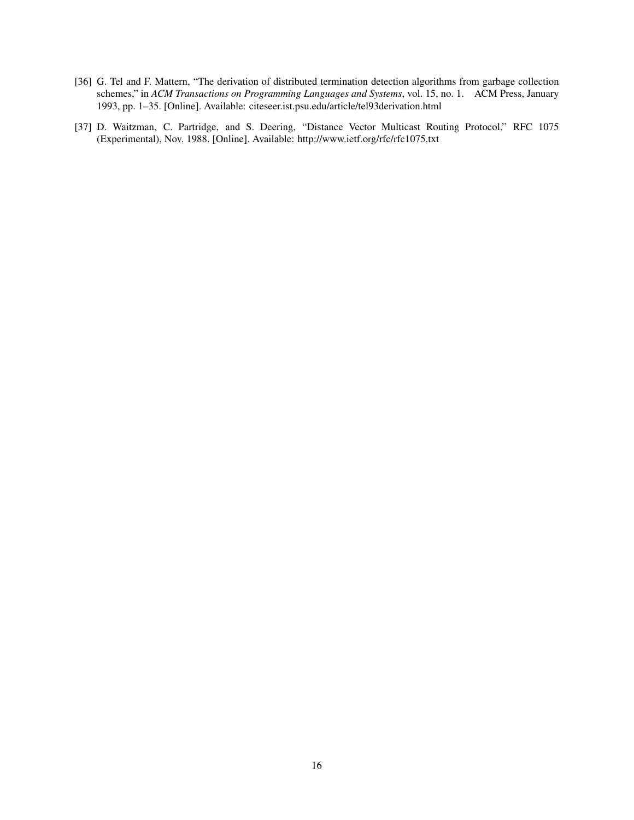- [36] G. Tel and F. Mattern, "The derivation of distributed termination detection algorithms from garbage collection schemes," in *ACM Transactions on Programming Languages and Systems*, vol. 15, no. 1. ACM Press, January 1993, pp. 1–35. [Online]. Available: citeseer.ist.psu.edu/article/tel93derivation.html
- [37] D. Waitzman, C. Partridge, and S. Deering, "Distance Vector Multicast Routing Protocol," RFC 1075 (Experimental), Nov. 1988. [Online]. Available: http://www.ietf.org/rfc/rfc1075.txt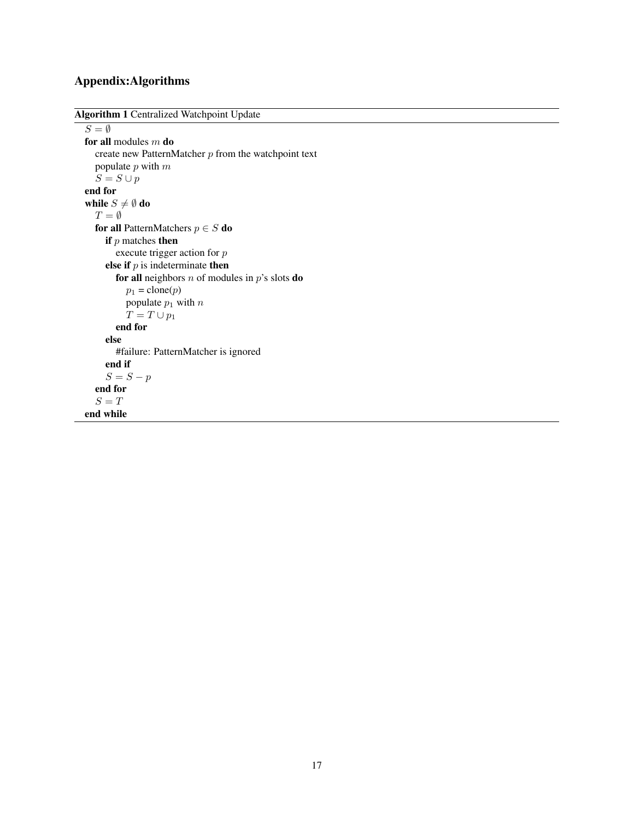# Appendix:Algorithms

```
Algorithm 1 Centralized Watchpoint Update
```

```
S = \emptysetfor all modules m do
  create new PatternMatcher p from the watchpoint text
  populate p with mS = S \cup pend for
while S \neq \emptyset do
  T = \emptysetfor all PatternMatchers p \in S do
     if p matches then
       execute trigger action for p
     else if p is indeterminate then
       for all neighbors n of modules in p's slots do
          p_1 = \text{clone}(p)populate p_1 with n_1T = T \cup p_1end for
     else
       #failure: PatternMatcher is ignored
     end if
     S = S - pend for
  S = Tend while
```